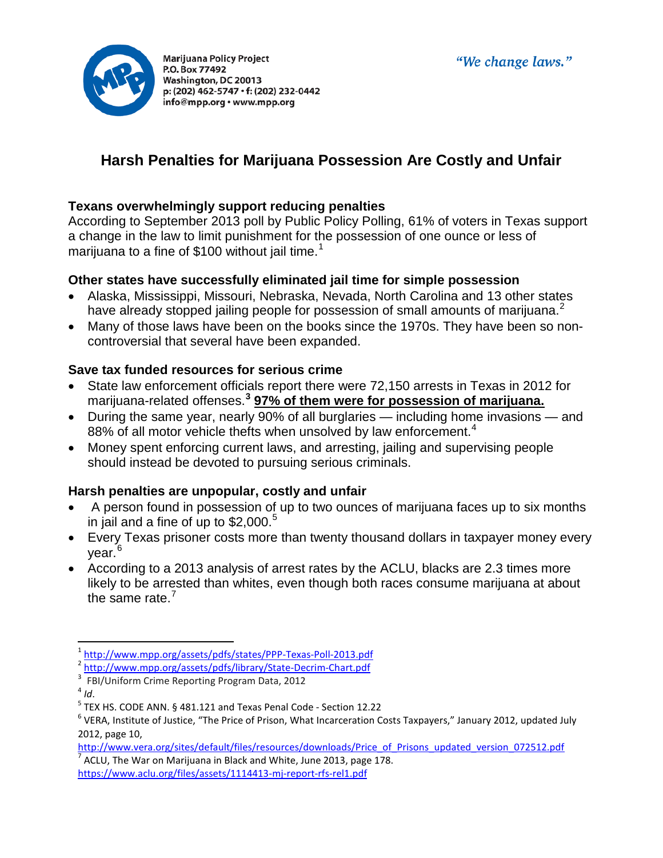



# **Harsh Penalties for Marijuana Possession Are Costly and Unfair**

#### **Texans overwhelmingly support reducing penalties**

According to September 2013 poll by Public Policy Polling, 61% of voters in Texas support a change in the law to limit punishment for the possession of one ounce or less of marijuana to a fine of \$[1](#page-0-0)00 without jail time.<sup>1</sup>

## **Other states have successfully eliminated jail time for simple possession**

- Alaska, Mississippi, Missouri, Nebraska, Nevada, North Carolina and 13 other states have already stopped jailing people for possession of small amounts of marijuana.<sup>[2](#page-0-1)</sup>
- Many of those laws have been on the books since the 1970s. They have been so noncontroversial that several have been expanded.

#### **Save tax funded resources for serious crime**

- State law enforcement officials report there were 72,150 arrests in Texas in 2012 for marijuana-related offenses.**[3](#page-0-2) 97% of them were for possession of marijuana.**
- During the same year, nearly 90% of all burglaries including home invasions and 88% of all motor vehicle thefts when unsolved by law enforcement.<sup>[4](#page-0-3)</sup>
- Money spent enforcing current laws, and arresting, jailing and supervising people should instead be devoted to pursuing serious criminals.

## **Harsh penalties are unpopular, costly and unfair**

- A person found in possession of up to two ounces of marijuana faces up to six months in jail and a fine of up to  $$2,000.<sup>5</sup>$  $$2,000.<sup>5</sup>$  $$2,000.<sup>5</sup>$
- Every Texas prisoner costs more than twenty thousand dollars in taxpayer money every year.<sup>[6](#page-0-5)</sup>
- According to a 2013 analysis of arrest rates by the ACLU, blacks are 2.3 times more likely to be arrested than whites, even though both races consume marijuana at about the same rate. $<sup>7</sup>$  $<sup>7</sup>$  $<sup>7</sup>$ </sup>

[http://www.vera.org/sites/default/files/resources/downloads/Price\\_of\\_Prisons\\_updated\\_version\\_072512.pdf](http://www.vera.org/sites/default/files/resources/downloads/Price_of_Prisons_updated_version_072512.pdf) <sup>7</sup> ACLU, The War on Marijuana in Black and White, June 2013, page 178.

<span id="page-0-6"></span><https://www.aclu.org/files/assets/1114413-mj-report-rfs-rel1.pdf>

<span id="page-0-0"></span>

<span id="page-0-2"></span><span id="page-0-1"></span>

<span id="page-0-4"></span><span id="page-0-3"></span>

<span id="page-0-5"></span>

 $\frac{1}{2}$  <http://www.mpp.org/assets/pdfs/states/PPP-Texas-Poll-2013.pdf><br>  $\frac{1}{2}$  <http://www.mpp.org/assets/pdfs/library/State-Decrim-Chart.pdf><br>  $\frac{1}{3}$  FBI/Uniform Crime Reporting Program Data, 2012<br>  $\frac{1}{4}$  Id.<br>  $\$ 2012, page 10,